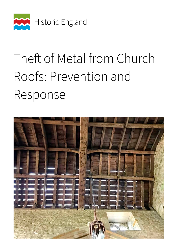

# Theft of Metal from Church Roofs: Prevention and Response

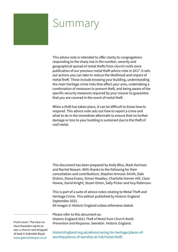### Summary

This advice note is intended to offer clarity to congregations responding to the sharp rise in the number, severity and geographical spread of metal thefts from church roofs since publication of our previous metal theft advice note in 2017. It sets out actions you can take to reduce the likelihood and impact of metal theft. These include knowing your building, understanding the main heritage crime risks that affect your area, undertaking a combination of measures to prevent theft, and being aware of the specific security measures required by your insurer to guarantee that you are covered in the event of metal theft.

When a theft has taken place, it can be difficult to know how to respond. This advice note sets out how to report a crime and what to do in the immediate aftermath to ensure that no further damage or loss to your building is sustained due to the theft of roof metal.

This document has been prepared by Andy Bliss, Mark Harrison and Rachel Neaum. With thanks to the following for their consultation and contributions: Stephen Armson-Smith, Dale Dishon, Diana Evans, Simon Headley, Charlotte Horner-Hill, Clare Howse, David Knight, Stuart Orton, Sally Picker and Guy Robinson.

This is part of a suite of advice notes relating to Metal Theft and Heritage Crime. This edition published by Historic England September 2021.

All images © Historic England unless otherwise stated.

Please refer to this document as:

Historic England 2021 *Theft of Metal from Church Roofs: Prevention and Response*. Swindon. Historic England.

Front cover: The view no churchwarden wants to see: a church roof stripped of lead © Gabrielle Boyle [www.gabrielleboyle.co.uk](http://www.gabrielleboyle.co.uk)

[HistoricEngland.org.uk/advice/caring-for-heritage/places-of](https://HistoricEngland.org.uk/advice/caring-for-heritage/places-of-worship/places-of-worship-at-risk/metal-theft/)[worship/places-of-worship-at-risk/metal-theft/](https://HistoricEngland.org.uk/advice/caring-for-heritage/places-of-worship/places-of-worship-at-risk/metal-theft/)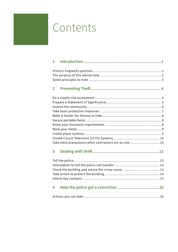### <span id="page-2-0"></span>Contents

| 1              |                                                        |  |
|----------------|--------------------------------------------------------|--|
|                |                                                        |  |
| $\overline{2}$ |                                                        |  |
|                | Take extra precautions when contractors are on site 10 |  |
| 3              |                                                        |  |
|                |                                                        |  |
| 4              |                                                        |  |
|                |                                                        |  |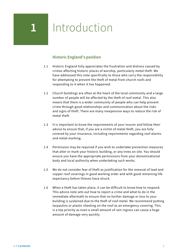## <span id="page-3-0"></span>**1** Introduction

### **Historic England's position**

- 1.1 Historic England fully appreciates the frustration and distress caused by crimes affecting historic places of worship, particularly metal theft. We have addressed this note specifically to those who carry the responsibility for attempting to prevent the theft of metal from church roofs and responding to it when it has happened.
- 1.2 Church buildings are often at the heart of the local community and a large number of people will be affected by the theft of roof metal. This also means that there is a wider community of people who can help prevent crime through good relationships and communication about the risks and signs of theft. There are many inexpensive ways to reduce the risk of metal theft.
- 1.3 It is important to know the requirements of your insurer and follow their advice to ensure that, if you are a victim of metal theft, you are fully covered by your insurance, including requirements regarding roof alarms and metal marking.
- 1.4 Permission may be required if you wish to undertake prevention measures that alter or mark your historic building, or any trees on site. You should ensure you have the appropriate permissions from your denominational body and local authority when undertaking such works.
- 1.5 We do not consider fear of theft as justification for the removal of lead and copper roof coverings in good working order and with good remaining life expectancy before thieves have struck.
- 1.6 When a theft has taken place, it can be difficult to know how to respond. This advice note sets out how to report a crime and what to do in the immediate aftermath to ensure that no further damage or loss to your building is sustained due to the theft of roof metal. We recommend putting tarpaulins or plastic sheeting on the roof as an emergency covering. This is a top priority as even a small amount of rain ingress can cause a huge amount of damage very quickly.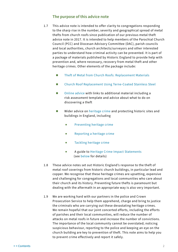### **The purpose of this advice note**

- <span id="page-4-0"></span>1.7 This advice note is intended to offer clarity to congregations responding to the sharp rise in the number, severity and geographical spread of metal thefts from church roofs since publication of our previous metal theft advice note in 2017. It is intended to help members of the Parochial Church Council (PCC) and Diocesan Advisory Committee (DAC), parish councils and local authorities, church architects/surveyors and other interested parties to understand how criminal activity can be prevented. It is part of a package of materials published by Historic England to provide help with prevention and, where necessary, recovery from metal theft and other heritage crimes. Other elements of the package include:
	- [Theft of Metal from Church Roofs: Replacement Materials](https://historicengland.org.uk/images-books/publications/theft-metal-church-roofs-replacement-materials/)
	- [Church Roof Replacement Using Terne-Coated Stainless Steel](https://historicengland.org.uk/images-books/publications/church-roof-replacement-terne-coated-stainless-steel/)
	- [Online advice](https://historicengland.org.uk/advice/caring-for-heritage/heritage-crime/report/) with links to additional material including a risk assessment template and advice about what to do on discovering a theft
	- Wider advice on [heritage crime](https://historicengland.org.uk/advice/caring-for-heritage/heritage-crime/) and protecting historic sites and buildings in England, including
		- [Preventing heritage crime](https://historicengland.org.uk/advice/caring-for-heritage/heritage-crime/prevent/)
		- [Reporting a heritage crime](https://historicengland.org.uk/advice/caring-for-heritage/heritage-crime/report/)
		- [Tackling heritage crime](https://historicengland.org.uk/advice/caring-for-heritage/heritage-crime/tackling/)
		- A guide to [Heritage Crime Impact Statements](https://historicengland.org.uk/advice/caring-for-heritage/heritage-crime/taking-action/) (see [below](#page-19-0) for details)
- 1.8 These advice notes set out Historic England's response to the theft of metal roof coverings from historic church buildings, in particular lead and copper. We recognise that these heritage crimes are upsetting, expensive and challenging for congregations and local communities who care about their church and its history. Preventing future thefts is paramount but dealing with the aftermath in an appropriate way is also very important.
- 1.9 We are working hard with our partners in the police and Crown Prosecution Service to help them apprehend, charge and bring to justice the criminals who are carrying out these devastating heritage crimes. We remain hopeful that our joint concerted efforts, including the efforts of parishes and their local communities, will reduce the number of attacks on metal roofs in future and increase the number of convictions. The importance of the local community cannot be overstated; noticing suspicious behaviour, reporting to the police and keeping an eye on the church building are key to prevention of theft. This note aims to help you to prevent crime effectively and report it safely.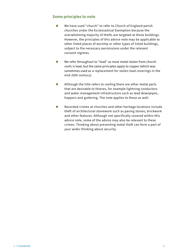### <span id="page-5-0"></span>**Some principles to note**

- We have used "church" to refer to Church of England parish churches under the Ecclesiastical Exemption because the overwhelming majority of thefts are targeted at these buildings. However, the principles of this advice note may be applicable to other listed places of worship or other types of listed buildings, subject to the necessary permissions under the relevant consent regimes.
- We refer throughout to "lead" as most metal stolen from church roofs is lead, but the same principles apply to copper (which was sometimes used as a replacement for stolen lead coverings in the mid-20th century).
- Although the title refers to roofing there are other metal parts that are desirable to thieves, for example lightning conductors and water management infrastructure such as lead downpipes, hoppers and guttering. The note applies to these as well.
- Recorded crimes at churches and other heritage locations include theft of architectural stonework such as paving stones, brickwork and other features. Although not specifically covered within this advice note, some of the advice may also be relevant to these crimes. Thinking about preventing metal theft can form a part of your wider thinking about security.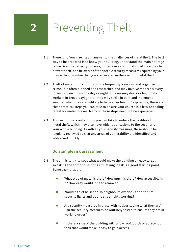### <span id="page-6-0"></span>**2** Preventing Theft

- 2.1 There is no 'one size fits all' answer to the challenges of metal theft. The best way to be prepared is to know your building, understand the main heritage crime risks that affect your area, undertake a combination of measures to prevent theft, and be aware of the specific security measures required by your insurer to guarantee that you are covered in the event of metal theft.
- 2.2 Theft of metal from church roofs is frequently a serious and organised crime. It is often planned and researched and may involve modern slavery. It can happen during the day or night. Thieves may dress as legitimate workers in broad daylight, or they may strike in dark and inclement weather when they are unlikely to be seen or heard. Despite this, there are clear practical steps you can take to ensure your church is a less-appealing target for metal thieves. Many of these steps need not be expensive.
- 2.3 This section sets out actions you can take to reduce the likelihood of metal theft, which may also have wider applications to the security of your whole building. As with all your security measures, these should be regularly reviewed so that any areas of vulnerability are identified and addressed quickly.

### **Do a simple risk assessment**

- 2.4 The aim is to try to spot what would make the building an easy target, so asking the sort of questions a thief might ask is a good starting point. Some examples are:
	- What type of metal is there? How much is there? How accessible is it? How easy would it be to remove?
	- Would a thief be seen? Do neighbours overlook the site? Are security lights and public streetlights working?
	- Are security measures in place with notices saying what they are? Can the security measures be routinely tested to ensure they are in working order?
	- $\blacksquare$  Is there a side of the building with a low roof, porch or adjacent oil tank that would make it easy to gain access?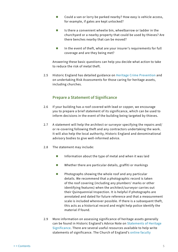- <span id="page-7-0"></span>■ Could a van or lorry be parked nearby? How easy is vehicle access, for example, if gates are kept unlocked?
- Is there a convenient wheelie bin, wheelbarrow or ladder in the churchyard or a nearby property that could be used by thieves? Are there benches nearby that can be moved?
- $\blacksquare$  In the event of theft, what are your insurer's requirements for full coverage and are they being met?

Answering these basic questions can help you decide what action to take to reduce the risk of metal theft.

2.5 Historic England has detailed guidance on [Heritage Crime Prevention](https://historicengland.org.uk/advice/caring-for-heritage/heritage-crime/prevent/) and on undertaking Risk Assessments for those caring for heritage assets, including churches.

### **Prepare a Statement of Significance**

- 2.6 If your building has a roof covered with lead or copper, we encourage you to prepare a brief statement of its significance, which can be used to inform decisions in the event of the building being targeted by thieves.
- 2.7 A statement will help the architect or surveyor specifying the repairs and/ or re-covering following theft and any contractors undertaking the work. It will also help the local authority, Historic England and denominational advisory bodies to give well-informed advice.
- 2.8 The statement may include:
	- Information about the type of metal and when it was laid
	- Whether there are particular details, graffiti or markings
	- $\blacksquare$  Photographs showing the whole roof and any particular details. We recommend that a photographic record is taken of the roof covering (including any plumbers' marks or other identifying features) when the architect/surveyor carries out their Quinquennial Inspection. It is helpful if photographs are annotated and dated for future reference and that a measurement scale is included wherever possible. If there is a subsequent theft, this acts as a historical record and might help police identify the material if found.
- 2.9 More information on assessing significance of heritage assets generally can be found in Historic England's Advice Note on [Statements of Heritage](https://historicengland.org.uk/images-books/publications/statements-heritage-significance-advice-note-12/)  [Significance.](https://historicengland.org.uk/images-books/publications/statements-heritage-significance-advice-note-12/) There are several useful resources available to help write statements of significance. The Church of England's [online faculty](https://facultyonline.churchofengland.org/home)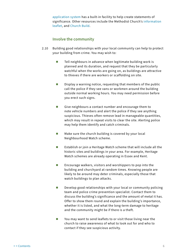<span id="page-8-0"></span>[application system](https://facultyonline.churchofengland.org/home) has a built-in facility to help create statements of significance. Other resources include the Methodist Church's [information](https://www.methodist.org.uk/static/rm/statementsignifneed.pdf)  [leaflet,](https://www.methodist.org.uk/static/rm/statementsignifneed.pdf) and [Church Build.](http://www.churchbuildingprojects.co.uk/how-to/5-technical/5-6-statement-of-significance/?doing_wp_cron=1629456296.7193911075592041015625)

### **Involve the community**

- 2.10 Building good relationships with your local community can help to protect your building from crime. You may wish to:
	- $\blacksquare$  Tell neighbours in advance when legitimate building work is planned and its duration, and request that they be particularly watchful when the works are going on, as buildings are attractive to thieves if there are workers or scaffolding on site.
	- $\blacksquare$  Display a warning notice, requesting that members of the public call the police if they see vans or workmen around the building outside normal working hours. You may need permission before you erect such signs.
	- Give neighbours a contact number and encourage them to note vehicle numbers and alert the police if they see anything suspicious. Thieves often remove lead in manageable quantities, which may result in repeat visits to clear the site. Alerting police may help them identify and catch criminals.
	- Make sure the church building is covered by your local Neighbourhood Watch scheme.
	- $\blacksquare$  Establish or join a Heritage Watch scheme that will include all the historic sites and buildings in your area. For example, Heritage Watch schemes are already operating in Essex and Kent.
	- $\blacksquare$  Encourage walkers, visitors and worshippers to pop into the building and churchyard at random times. Knowing people are likely to be around may deter criminals, especially those that watch buildings to plan attacks.
	- $\Box$  Develop good relationships with your local or community policing team and police crime prevention specialist. Contact them to discuss the building's significance and the amount of metal it has. Offer to show them round and explain the building's importance, whether it is listed, and what the long-term damage to heritage and the community might be if there is a theft.
	- $\blacksquare$  You may want to send leaflets to or visit those living near the church to raise awareness of what to look out for and who to contact if they see suspicious activity.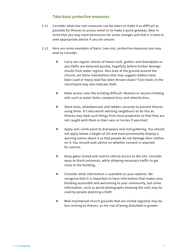### **Take basic protective measures**

- <span id="page-9-0"></span>2.11 Consider what low-cost measures can be taken to make it as difficult as possible for thieves to access metal or to make a quick getaway. Bear in mind that you may need permission for some changes and that it is best to seek appropriate advice if you are unsure.
- 2.12 Here are some examples of basic, low-cost, protective measures you may wish to consider:
	- Carry out regular checks of metal roofs, gutters and downpipes so any thefts are detected quickly, hopefully before further damage results from water ingress. Also look at the ground around the church; are there indentations that may suggest ladders have been used or heavy lead has been thrown down? Tyre tracks in the churchyard may also indicate theft.
	- Make access onto the building difficult. Remove or secure climbing aids such as water butts, compost bins, and wheelie bins.
	- Store tools, wheelbarrows and ladders securely to prevent thieves using them. It's also worth advising neighbours to do this as thieves may steal such things from local properties so that they are not caught with them in their vans or lorries if searched.
	- **Apply anti-climb paint to drainpipes and roof guttering. You should** not apply below a height of 2m and must prominently display a warning notice about it so that people do not damage their clothes on it. You should seek advice on whether consent is required for notices.
	- Keep gates locked and restrict vehicle access to the site. Consider ways to block entrances, while allowing necessary traffic to get close to the building.
	- Consider what information is available on your website. We recognise that it is important to have information that makes your building accessible and welcoming to your community, but some information, such as aerial photographs showing the roof, may be used by people planning a theft.
	- Well-maintained church grounds that are visited regularly may be less inviting to thieves, as the risk of being disturbed is greater.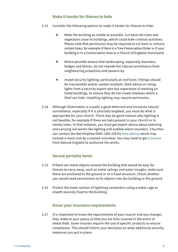### **Make it harder for thieves to hide**

- <span id="page-10-0"></span>2.13 Consider the following options to make it harder for thieves to hide:
	- $\blacksquare$  Make the building as visible as possible. Cut back tall trees and vegetation close to buildings, which could hide criminal activities. Please note that permission may be required to cut back or remove certain trees, for example if there is a Tree Preservation Order or if your building is in a Conservation Area or a Church of England churchyard.
	- $\blacksquare$  Where possible ensure that landscaping, especially boundary hedges and fences, do not impede the natural surveillance from neighbouring properties and passers-by.
	- Install security lighting, particularly at roof level. Fittings should be inaccessible and/or vandal resistant. Seek advice on siting lights from a security expert who has experience of working on listed buildings, to ensure they do not create shadows where a thief can hide. Installing lighting may require permission.
- 2.14 Although illumination is usually a good deterrent and increases natural surveillance, especially if it is precisely targeted, you must do what is appropriate for your church. There may be good reasons why lighting is not feasible, for example if there are bats present in your church or in nearby trees. In that instance, you must get expert advice about planning and carrying out works like lighting and audible alarm sounders. Churches can contact the Bat Helpline 0345 1300 228 for [free advice](https://www.bats.org.uk/our-work/buildings-planning-and-development/bats-and-churches/bats-and-building-work-in-churches), which may include a roost visit by a trained volunteer. You may need to get [a licence](https://www.gov.uk/government/collections/bat-licences) from Natural England to authorise the works.

### **Secure portable items**

- 2.15 If there are metal objects around the building that would be easy for thieves to carry away, such as metal railings and water troughs, make sure these are anchored to the ground or to a fixed structure. Check whether you would need permissions to fix objects into the building or the ground.
- 2.16 Protect the lower section of lightning conductors using a metal cage or sheath securely fixed to the building.

### **Know your insurance requirements**

2.17 It is important to know the requirements of your insurer and any changes they make to your policy so that you are fully covered in the event of metal theft. Some insurers require the use of specific products to ensure compliance. This should inform your decisions on what additional security measures you put in place.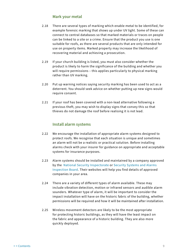### **Mark your metal**

- <span id="page-11-0"></span>2.18 There are several types of marking which enable metal to be identified, for example forensic marking that shows up under UV light. Some of these can connect to central databases so that marked materials or traces on people can be linked to a site or a crime. Ensure that the product you use is one suitable for roofs, as there are several products that are only intended for use on property items. Marked property may increase the likelihood of recovering material and achieving a prosecution.
- 2.19 If your church building is listed, you must also consider whether the product is likely to harm the significance of the building and whether you will require permissions – this applies particularly to physical marking rather than UV marking.
- 2.20 Put up warning notices saying security marking has been used to act as a deterrent. You should seek advice on whether putting up new signs would require consent.
- 2.21 If your roof has been covered with a non-lead alternative following a previous theft, you may wish to display signs that convey this so that thieves do not damage the roof before realising it is not lead.

### **Install alarm systems**

- 2.22 We encourage the installation of appropriate alarm systems designed to protect roofs. We recognise that each situation is unique and sometimes an alarm will not be a realistic or practical solution. Before installing alarms check with your insurer for guidance on appropriate and acceptable systems for insurance purposes.
- 2.23 Alarm systems should be installed and maintained by a company approved by the [National Security Inspectorate](https://www.nsi.org.uk) or [Security Systems and Alarms](https://ssaib.org)  [Inspection Board](https://ssaib.org). Their websites will help you find details of approved companies in your area.
- 2.24 There are a variety of different types of alarm available. These may include vibration detection, motion or infrared sensors and audible alarm sounders. Whatever type of alarm, it will be important to consider the impact installation will have on the historic fabric of the building, whether permissions will be required and how it will be maintained after installation.
- 2.25 Wireless movement detectors are likely to be the most appropriate for protecting historic buildings, as they will have the least impact on the fabric and appearance of a historic building. They are also more quickly deployed.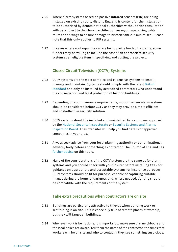- <span id="page-12-0"></span>2.26 Where alarm systems based on passive infrared sensors (PIR) are being installed on existing roofs, Historic England is content for the installation to be authorised by denominational authorities without prior consultation with us, subject to the church architect or surveyor supervising cable routes and fixings to ensure damage to historic fabric is minimised. Please note that this only applies to PIR systems.
- 2.27 In cases where roof repair works are being partly funded by grants, some funders may be willing to include the cost of an appropriate security system as an eligible item in specifying and costing the project.

### **Closed Circuit Television (CCTV) Systems**

- 2.28 CCTV systems are the most complex and expensive systems to install, manage and maintain. Systems should comply with the latest [British](https://www.gov.uk/guidance/recommended-standards-for-the-cctv-industry)  [Standard](https://www.gov.uk/guidance/recommended-standards-for-the-cctv-industry) and only be installed by accredited contractors who understand the conservation and legal protection of historic buildings.
- 2.29 Depending on your insurance requirements, motion sensor alarm systems should be considered before CCTV as they may provide a more efficient and cost-effective security solution.
- 2.30 CCTV systems should be installed and maintained by a company approved by the [National Security Inspectorate](https://www.nsi.org.uk) or [Security Systems and Alarms](https://ssaib.org)  [Inspection Board](https://ssaib.org). Their websites will help you find details of approved companies in your area.
- 2.31 Always seek advice from your local planning authority or denominational advisory body before approaching a contractor. The Church of England has [further advice](https://www.churchofengland.org/resources/churchcare/advice-and-guidance-church-buildings/cctv) on this topic.
- 2.32 Many of the considerations of the CCTV system are the same as for alarm systems and you should check with your insurer before installing CCTV for guidance on appropriate and acceptable systems for insurance purposes. CCTV systems should be fit for purpose, capable of capturing suitable images during the hours of darkness and, where needed, lighting should be compatible with the requirements of the system.

### **Take extra precautions when contractors are on site**

- 2.33 Buildings are particularly attractive to thieves when building work or scaffolding is on site. This is especially true of remote places of worship, but they will target all buildings.
- 2.34 Whenever work is being done, it is important to make sure that neighbours and the local police are aware. Tell them the name of the contractor, the times that workers will be on site and who to contact if they see something suspicious.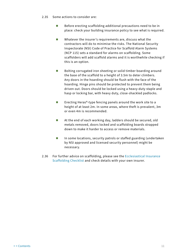- 2.35 Some actions to consider are:
	- $\blacksquare$  Before erecting scaffolding additional precautions need to be in place: check your building insurance policy to see what is required.
	- Whatever the insurer's requirements are, discuss what the contractors will do to minimise the risks. The National Security Inspectorate (NSI) Code of Practice for Scaffold Alarm Systems (NCP 115) sets a standard for alarms on scaffolding. Some scaffolders will add scaffold alarms and it is worthwhile checking if this is an option.
	- Bolting corrugated iron sheeting or solid timber boarding around the base of the scaffold to a height of 3.5m to deter climbers. Any doors in the hoarding should be flush with the face of the hoarding. Hinge pins should be protected to prevent them being driven out. Doors should be locked using a heavy-duty staple and hasp or locking bar, with heavy duty, close-shackled padlocks.
	- Erecting Heras®-type fencing panels around the work site to a height of at least 2m. In some areas, where theft is prevalent, 3m or even 4m is recommended.
	- At the end of each working day, ladders should be secured, old metals removed, doors locked and scaffolding boards strapped down to make it harder to access or remove materials.
	- In some locations, security patrols or staffed guarding (undertaken by NSI approved and licensed security personnel) might be necessary.
- 2.36 For further advice on scaffolding, please see the [Ecclesiastical Insurance](https://www.ecclesiastical.com/documents/scaffolding-checklist.pdf)  [Scaffolding Checklist](https://www.ecclesiastical.com/documents/scaffolding-checklist.pdf) and check details with your own insurer.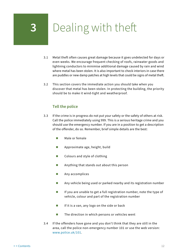### <span id="page-14-0"></span>**3** Dealing with theft

- 3.1 Metal theft often causes great damage because it goes undetected for days or even weeks. We encourage frequent checking of roofs, rainwater goods and lightning conductors to minimise additional damage caused by rain and wind where metal has been stolen. It is also important to check interiors in case there are puddles or new damp patches at high levels that could be signs of metal theft.
- 3.2 This section covers the immediate action you should take when you discover that metal has been stolen. In protecting the building, the priority should be to make it wind-tight and weatherproof.

### **Tell the police**

- 3.3 If the crime is in progress do not put your safety or the safety of others at risk. Call the police immediately using 999. This is a serious heritage crime and you should use the emergency number. If you are in a position to get a description of the offender, do so. Remember, brief simple details are the best:
	- **Male or female**
	- **Approximate age, height, build**
	- Colours and style of clothing
	- **Anything that stands out about this person**
	- **Any accomplices**
	- **Any vehicle being used or parked nearby and its registration number**
	- If you are unable to get a full registration number, note the type of vehicle, colour and part of the registration number
	- $\blacksquare$  If it is a van, any logo on the side or back
	- $\blacksquare$  The direction in which persons or vehicles went
- 3.4 If the offenders have gone and you don't think that they are still in the area, call the police non-emergency number 101 or use the web version: [www.police.uk/101](https://www.police.uk/101).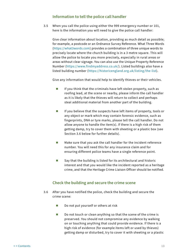### **Information to tell the police call handler**

<span id="page-15-0"></span>3.5 When you call the police using either the 999 emergency number or 101, here is the information you will need to give the police call handler:

Give clear information about location, providing as much detail as possible; for example, a postcode or an Ordnance Survey Reference. What Three Words [\(https://what3words.com](https://what3words.com/pretty.needed.chill)) provides a combination of three unique words to precisely locate where the church building is in a 3 metre square. This will allow the police to locate you more precisely, especially in rural areas or areas without clear signage. You can also use the Unique Property Reference Number ([https://www.findmyaddress.co.uk/](https://www.findmyaddress.co.uk)). Listed buildings also have a listed building number ([https://historicengland.org.uk/listing/the-list\)](https://historicengland.org.uk/listing/the-list).

Give any information that would help to identify thieves or their vehicles.

- $\blacksquare$  If you think that the criminals have left stolen property, such as roofing lead, at the scene or nearby, please inform the call handler as it is likely that the thieves will return to collect and perhaps steal additional material from another part of the building.
- $\blacksquare$  If you believe that the suspects have left items of property, tools or any object or mark which may contain forensic evidence, such as fingerprints, DNA or tyre marks, please tell the call handler. Do not allow anyone to handle the item(s). If there is a high risk of them getting damp, try to cover them with sheeting or a plastic box (see Section 3.6 below for further details).
- **Make sure that you ask the call handler for the incident reference** number. You will need this for any insurance claim and for ensuring different police teams have a single reference point.
- $\blacksquare$  Say that the building is listed for its architectural and historic interest and that you would like the incident reported as a heritage crime, and that the Heritage Crime Liaison Officer should be notified.

### **Check the building and secure the crime scene**

- 3.6 After you have notified the police, check the building and secure the crime scene:
	- Do not put yourself or others at risk
	- Do not touch or clean anything so that the scene of the crime is preserved. You should not compromise any evidence by walking on or touching anything that could provide evidence. If there is a high risk of evidence (for example items left or used by thieves) getting damp or disturbed, try to cover it with sheeting or a plastic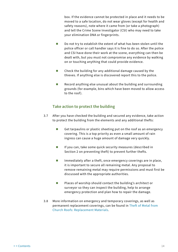<span id="page-16-0"></span>box. If the evidence cannot be protected in place and it needs to be moved to a safe location, do not wear gloves (except for health and safety reasons), note where it came from (or take a photograph) and tell the Crime Scene Investigator (CSI) who may need to take your elimination DNA or fingerprints.

- Do not try to establish the extent of what has been stolen until the police officer or call handler says it is fine to do so. After the police and CSI have done their work at the scene, everything can then be dealt with, but you must not compromise any evidence by walking on or touching anything that could provide evidence.
- Check the building for any additional damage caused by the thieves. If anything else is discovered report this to the police.
- Record anything else unusual about the building and surrounding grounds (for example, bins which have been moved to allow access to the roof).

### **Take action to protect the building**

- 3.7 After you have checked the building and secured any evidence, take action to protect the building from the elements and any additional thefts:
	- Get tarpaulins or plastic sheeting put on the roof as an emergency covering. This is a top priority as even a small amount of rain ingress can cause a huge amount of damage very quickly.
	- $\blacksquare$  If you can, take some quick security measures (described in Section 2 on preventing theft) to prevent further thefts.
	- $\blacksquare$  Immediately after a theft, once emergency coverings are in place, it is important to secure all remaining metal. Any proposal to remove remaining metal may require permissions and must first be discussed with the appropriate authorities.
	- $\blacksquare$  Places of worship should contact the building's architect or surveyor so they can inspect the building, help to arrange emergency protection and plan how to repair the damage.
- 3.8 More information on emergency and temporary coverings, as well as permanent replacement coverings, can be found in [Theft of Metal from](https://historicengland.org.uk/images-books/publications/theft-metal-church-roofs-replacement-materials/)  [Church Roofs: Replacement Materials.](https://historicengland.org.uk/images-books/publications/theft-metal-church-roofs-replacement-materials/)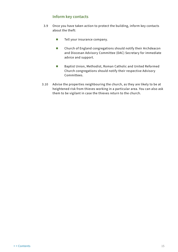### **Inform key contacts**

- <span id="page-17-0"></span>3.9 Once you have taken action to protect the building, inform key contacts about the theft:
	- **Tell your insurance company.**
	- Church of England congregations should notify their Archdeacon and Diocesan Advisory Committee (DAC) Secretary for immediate advice and support.
	- Baptist Union, Methodist, Roman Catholic and United Reformed Church congregations should notify their respective Advisory Committees.
- 3.10 Advise the properties neighbouring the church, as they are likely to be at heightened risk from thieves working in a particular area. You can also ask them to be vigilant in case the thieves return to the church.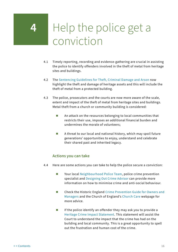### <span id="page-18-0"></span>**4** Help the police get a conviction

- 4.1 Timely reporting, recording and evidence-gathering are crucial in assisting the police to identify offenders involved in the theft of metal from heritage sites and buildings.
- 4.2 The [Sentencing Guidelines for Theft, Criminal Damage and Arson](https://www.sentencingcouncil.org.uk/offences/magistrates-court/item/theft-general/) now highlight the theft and damage of heritage assets and this will include the theft of metal from a protected building.
- 4.3 The police, prosecutors and the courts are now more aware of the scale, extent and impact of the theft of metal from heritage sites and buildings. Metal theft from a church or community building is considered:
	- An attack on the resources belonging to local communities that restricts their use, imposes an additional financial burden and undermines the morale of volunteers;
	- A threat to our local and national history, which may spoil future generations' opportunities to enjoy, understand and celebrate their shared past and inherited legacy.

### **Actions you can take**

- 4.4 Here are some actions you can take to help the police secure a conviction:
	- Your local [Neighbourhood Police Team](https://www.police.uk), police crime prevention specialist and [Designing Out Crime Advisor](https://www.securedbydesign.com/contact-us/national-network-of-designing-out-crime-officers?view=article&id=308) can provide more information on how to minimise crime and anti-social behaviour.
	- Check the Historic England [Crime Prevention Guide for Owners and](https://historicengland.org.uk/images-books/publications/heritage-crime-prevention-guide/)  [Managers](https://historicengland.org.uk/images-books/publications/heritage-crime-prevention-guide/) and the Church of England's [Church Care](https://www.churchofengland.org/resources/churchcare) webpage for more advice.
	- $\blacksquare$  If the police identify an offender they may ask you to provide a [Heritage Crime Impact Statement](https://historicengland.org.uk/images-books/publications/heritage-crime-impact-statements/). This statement will assist the Court to understand the impact that the crime has had on the building and local community. This is a great opportunity to spell out the frustration and human cost of the crime.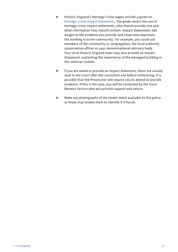- <span id="page-19-0"></span>■ Historic England's Heritage Crime pages include a guide on [heritage crime impact statements](https://historicengland.org.uk/images-books/publications/heritage-crime-impact-statements/). The guide covers the use of heritage crime impact statements, who should provide one and what information they should contain. Impact Statements add weight to the evidence you provide and show how important the building is to the community. For example, you could ask members of the community or congregation, the local authority conservation officer or your denominational advisory body. Your local Historic England team may also provide an Impact Statement, explaining the importance of the damaged building in the national context.
- **If you are asked to provide an Impact Statement, these are usually** read to the Court after the conviction and before sentencing. It is possible that the Prosecutor will require you to attend to provide evidence. If this is the case, you will be contacted by the Court Witness Service who will provide support and advice.
- Make any photographs of the stolen metal available to the police as these may enable them to identify it if found.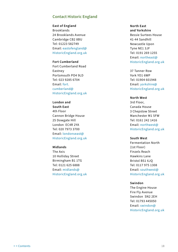### **Contact Historic England**

**East of England** Brooklands 24 Brooklands Avenue Cambridge CB2 8BU Tel: 01223 582749 Email: [eastofengland@](mailto:eastofengland%40HistoricEngland.org.uk?subject=Guidance) [HistoricEngland.org.uk](mailto:eastofengland%40HistoricEngland.org.uk?subject=Guidance)

### **Fort Cumberland** Fort Cumberland Road Eastney Portsmouth PO4 9LD Tel: 023 9285 6704 Email: [fort.](mailto:fort.cumberland%40HistoricEngland.org.uk?subject=Guidance) [cumberland@](mailto:fort.cumberland%40HistoricEngland.org.uk?subject=Guidance) [HistoricEngland.org.uk](mailto:fort.cumberland%40HistoricEngland.org.uk?subject=Guidance)

**London and South East** 4th Floor Cannon Bridge House 25 Dowgate Hill London EC4R 2YA Tel: 020 7973 3700 Email: [londonseast@](mailto:londonseast%40HistoricEngland.org.uk?subject=Guidance) [HistoricEngland.org.uk](mailto:londonseast%40HistoricEngland.org.uk?subject=Guidance)

#### **Midlands**

The Axis 10 Holliday Street Birmingham B1 1TG Tel: 0121 625 6888 Email: [midlands@](mailto:midlands%40HistoricEngland.org.uk?subject=Guidance) [HistoricEngland.org.uk](mailto:midlands%40HistoricEngland.org.uk?subject=Guidance)

### **North East and Yorkshire** Bessie Surtees House 41-44 Sandhill Newcastle Upon Tyne NE1 3JF Tel: 0191 269 1255 Email: [northeast@](mailto:northeast%40HistoricEngland.org.uk?subject=Guidance) [HistoricEngland.org.uk](mailto:northeast%40HistoricEngland.org.uk?subject=Guidance)

37 Tanner Row York YO1 6WP Tel: 01904 601948 Email: [yorkshire@](mailto:yorkshire%40HistoricEngland.org.uk?subject=Guidance) [HistoricEngland.org.uk](mailto:yorkshire%40HistoricEngland.org.uk?subject=Guidance)

#### **North West**

3rd Floor, Canada House 3 Chepstow Street Manchester M1 5FW Tel: 0161 242 1416 Email: [northwest@](mailto:northwest%40HistoricEngland.org.uk?subject=Guidance) [HistoricEngland.org.uk](mailto:northwest%40HistoricEngland.org.uk?subject=Guidance)

#### **South West**

Fermentation North (1st Floor) Finzels Reach Hawkins Lane Bristol BS1 6JQ Tel: 0117 975 1308 Email: [southwest@](mailto:southwest%40HistoricEngland.org.uk?subject=Guidance) [HistoricEngland.org.uk](mailto:southwest%40HistoricEngland.org.uk?subject=Guidance)

#### **Swindon**

The Engine House Fire Fly Avenue Swindon SN2 2EH Tel: 01793 445050 Email: [swindon@](mailto:swindon%40HistoricEngland.org.uk?subject=Guidance) [HistoricEngland.org.uk](mailto:swindon%40HistoricEngland.org.uk?subject=Guidance)